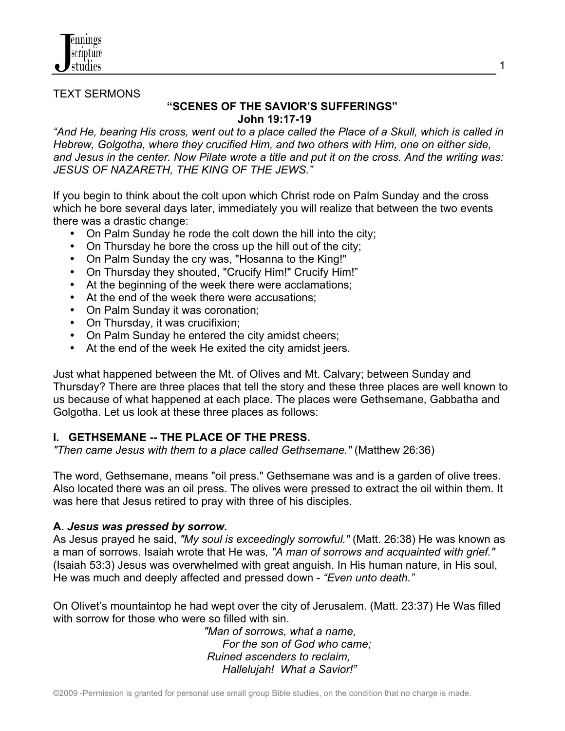

#### TEXT SERMONS

#### **"SCENES OF THE SAVIOR'S SUFFERINGS" John 19:17-19**

*"And He, bearing His cross, went out to a place called the Place of a Skull, which is called in Hebrew, Golgotha, where they crucified Him, and two others with Him, one on either side, and Jesus in the center. Now Pilate wrote a title and put it on the cross. And the writing was: JESUS OF NAZARETH, THE KING OF THE JEWS."*

If you begin to think about the colt upon which Christ rode on Palm Sunday and the cross which he bore several days later, immediately you will realize that between the two events there was a drastic change:

- On Palm Sunday he rode the colt down the hill into the city;
- On Thursday he bore the cross up the hill out of the city;
- On Palm Sunday the cry was, "Hosanna to the King!"
- On Thursday they shouted, "Crucify Him!" Crucify Him!"
- At the beginning of the week there were acclamations;
- At the end of the week there were accusations:
- On Palm Sunday it was coronation;
- On Thursday, it was crucifixion;
- On Palm Sunday he entered the city amidst cheers;
- At the end of the week He exited the city amidst jeers.

Just what happened between the Mt. of Olives and Mt. Calvary; between Sunday and Thursday? There are three places that tell the story and these three places are well known to us because of what happened at each place. The places were Gethsemane, Gabbatha and Golgotha. Let us look at these three places as follows:

### **I. GETHSEMANE -- THE PLACE OF THE PRESS.**

*"Then came Jesus with them to a place called Gethsemane."* (Matthew 26:36)

The word, Gethsemane, means "oil press." Gethsemane was and is a garden of olive trees. Also located there was an oil press. The olives were pressed to extract the oil within them. It was here that Jesus retired to pray with three of his disciples.

#### **A.** *Jesus was pressed by sorrow.*

As Jesus prayed he said, *"My soul is exceedingly sorrowful."* (Matt. 26:38) He was known as a man of sorrows. Isaiah wrote that He was*, "A man of sorrows and acquainted with grief."*  (Isaiah 53:3) Jesus was overwhelmed with great anguish. In His human nature, in His soul, He was much and deeply affected and pressed down - *"Even unto death."*

On Olivet's mountaintop he had wept over the city of Jerusalem. (Matt. 23:37) He Was filled with sorrow for those who were so filled with sin.

> *"Man of sorrows, what a name, For the son of God who came; Ruined ascenders to reclaim, Hallelujah! What a Savior!"*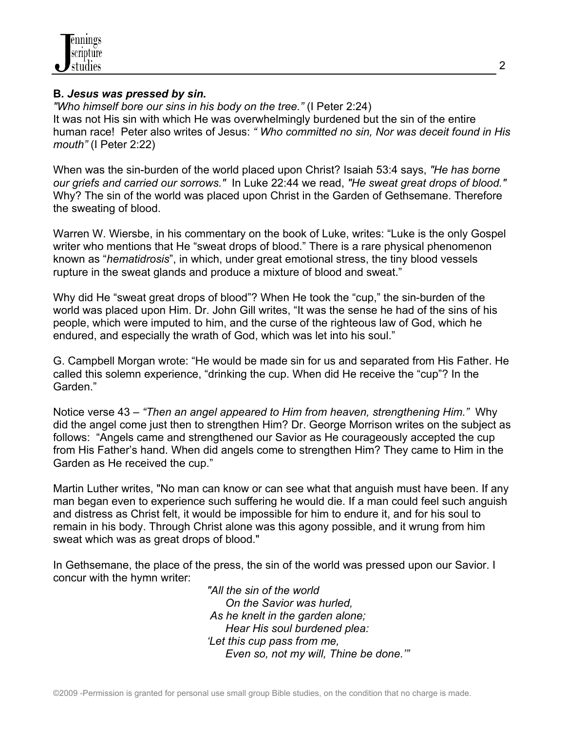

#### **B***. Jesus was pressed by sin.*

*"Who himself bore our sins in his body on the tree."* (I Peter 2:24) It was not His sin with which He was overwhelmingly burdened but the sin of the entire human race! Peter also writes of Jesus: *" Who committed no sin, Nor was deceit found in His mouth"* (I Peter 2:22)

When was the sin-burden of the world placed upon Christ? Isaiah 53:4 says, *"He has borne our griefs and carried our sorrows."* In Luke 22:44 we read, *"He sweat great drops of blood."* Why? The sin of the world was placed upon Christ in the Garden of Gethsemane. Therefore the sweating of blood.

Warren W. Wiersbe, in his commentary on the book of Luke, writes: "Luke is the only Gospel writer who mentions that He "sweat drops of blood." There is a rare physical phenomenon known as "*hematidrosis*", in which, under great emotional stress, the tiny blood vessels rupture in the sweat glands and produce a mixture of blood and sweat."

Why did He "sweat great drops of blood"? When He took the "cup," the sin-burden of the world was placed upon Him. Dr. John Gill writes, "It was the sense he had of the sins of his people, which were imputed to him, and the curse of the righteous law of God, which he endured, and especially the wrath of God, which was let into his soul."

G. Campbell Morgan wrote: "He would be made sin for us and separated from His Father. He called this solemn experience, "drinking the cup. When did He receive the "cup"? In the Garden."

Notice verse 43 – *"Then an angel appeared to Him from heaven, strengthening Him."* Why did the angel come just then to strengthen Him? Dr. George Morrison writes on the subject as follows: "Angels came and strengthened our Savior as He courageously accepted the cup from His Father's hand. When did angels come to strengthen Him? They came to Him in the Garden as He received the cup."

Martin Luther writes, "No man can know or can see what that anguish must have been. If any man began even to experience such suffering he would die. If a man could feel such anguish and distress as Christ felt, it would be impossible for him to endure it, and for his soul to remain in his body. Through Christ alone was this agony possible, and it wrung from him sweat which was as great drops of blood."

In Gethsemane, the place of the press, the sin of the world was pressed upon our Savior. I concur with the hymn writer:

 *"All the sin of the world On the Savior was hurled, As he knelt in the garden alone; Hear His soul burdened plea: 'Let this cup pass from me, Even so, not my will, Thine be done.'"*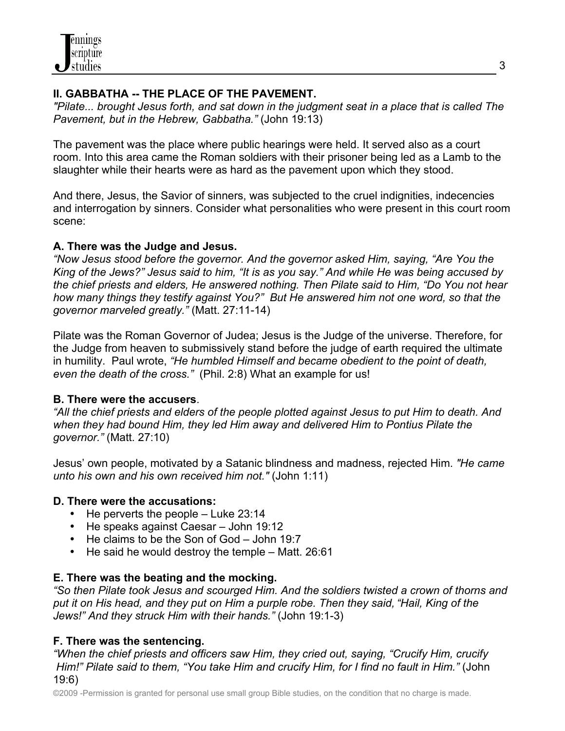## **II. GABBATHA -- THE PLACE OF THE PAVEMENT.**

*"Pilate... brought Jesus forth, and sat down in the judgment seat in a place that is called The Pavement, but in the Hebrew, Gabbatha."* (John 19:13)

The pavement was the place where public hearings were held. It served also as a court room. Into this area came the Roman soldiers with their prisoner being led as a Lamb to the slaughter while their hearts were as hard as the pavement upon which they stood.

And there, Jesus, the Savior of sinners, was subjected to the cruel indignities, indecencies and interrogation by sinners. Consider what personalities who were present in this court room scene:

## **A. There was the Judge and Jesus.**

*"Now Jesus stood before the governor. And the governor asked Him, saying, "Are You the King of the Jews?" Jesus said to him, "It is as you say." And while He was being accused by the chief priests and elders, He answered nothing. Then Pilate said to Him, "Do You not hear how many things they testify against You?" But He answered him not one word, so that the governor marveled greatly."* (Matt. 27:11-14)

Pilate was the Roman Governor of Judea; Jesus is the Judge of the universe. Therefore, for the Judge from heaven to submissively stand before the judge of earth required the ultimate in humility. Paul wrote, *"He humbled Himself and became obedient to the point of death, even the death of the cross."* (Phil. 2:8) What an example for us!

## **B. There were the accusers**.

*"All the chief priests and elders of the people plotted against Jesus to put Him to death. And when they had bound Him, they led Him away and delivered Him to Pontius Pilate the governor."* (Matt. 27:10)

Jesus' own people, motivated by a Satanic blindness and madness, rejected Him. *"He came unto his own and his own received him not."* (John 1:11)

# **D. There were the accusations:**

- He perverts the people Luke 23:14
- He speaks against Caesar John 19:12
- He claims to be the Son of God John 19:7
- He said he would destroy the temple Matt. 26:61

# **E. There was the beating and the mocking.**

*"So then Pilate took Jesus and scourged Him. And the soldiers twisted a crown of thorns and put it on His head, and they put on Him a purple robe. Then they said, "Hail, King of the Jews!" And they struck Him with their hands."* (John 19:1-3)

# **F. There was the sentencing.**

*"When the chief priests and officers saw Him, they cried out, saying, "Crucify Him, crucify Him!" Pilate said to them, "You take Him and crucify Him, for I find no fault in Him."* (John 19:6)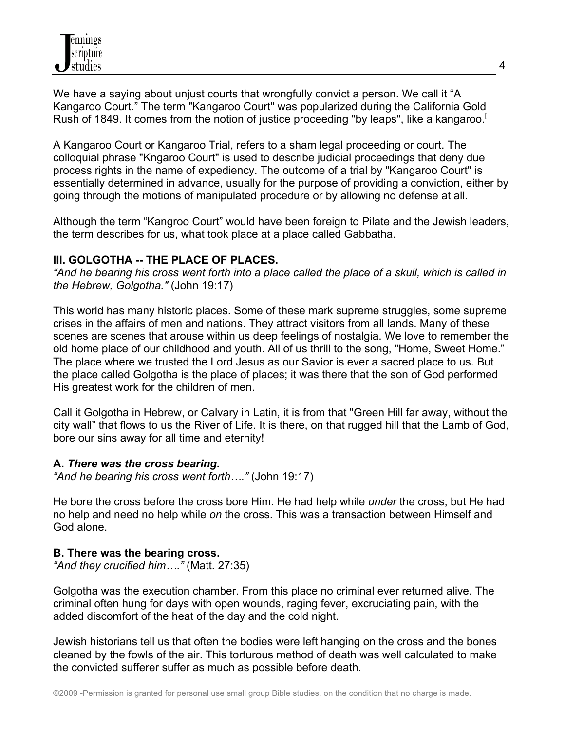We have a saying about unjust courts that wrongfully convict a person. We call it "A Kangaroo Court." The term "Kangaroo Court" was popularized during the California Gold Rush of 1849. It comes from the notion of justice proceeding "by leaps", like a kangaroo.<sup>[</sup>

A Kangaroo Court or Kangaroo Trial, refers to a sham legal proceeding or court. The colloquial phrase "Kngaroo Court" is used to describe judicial proceedings that deny due process rights in the name of expediency. The outcome of a trial by "Kangaroo Court" is essentially determined in advance, usually for the purpose of providing a conviction, either by going through the motions of manipulated procedure or by allowing no defense at all.

Although the term "Kangroo Court" would have been foreign to Pilate and the Jewish leaders, the term describes for us, what took place at a place called Gabbatha.

### **III. GOLGOTHA -- THE PLACE OF PLACES.**

*"And he bearing his cross went forth into a place called the place of a skull, which is called in the Hebrew, Golgotha."* (John 19:17)

This world has many historic places. Some of these mark supreme struggles, some supreme crises in the affairs of men and nations. They attract visitors from all lands. Many of these scenes are scenes that arouse within us deep feelings of nostalgia. We love to remember the old home place of our childhood and youth. All of us thrill to the song, "Home, Sweet Home." The place where we trusted the Lord Jesus as our Savior is ever a sacred place to us. But the place called Golgotha is the place of places; it was there that the son of God performed His greatest work for the children of men.

Call it Golgotha in Hebrew, or Calvary in Latin, it is from that "Green Hill far away, without the city wall" that flows to us the River of Life. It is there, on that rugged hill that the Lamb of God, bore our sins away for all time and eternity!

## **A.** *There was the cross bearing.*

*"And he bearing his cross went forth…."* (John 19:17)

He bore the cross before the cross bore Him. He had help while *under* the cross, but He had no help and need no help while *on* the cross. This was a transaction between Himself and God alone.

## **B. There was the bearing cross.**

*"And they crucified him…."* (Matt. 27:35)

Golgotha was the execution chamber. From this place no criminal ever returned alive. The criminal often hung for days with open wounds, raging fever, excruciating pain, with the added discomfort of the heat of the day and the cold night.

Jewish historians tell us that often the bodies were left hanging on the cross and the bones cleaned by the fowls of the air. This torturous method of death was well calculated to make the convicted sufferer suffer as much as possible before death.